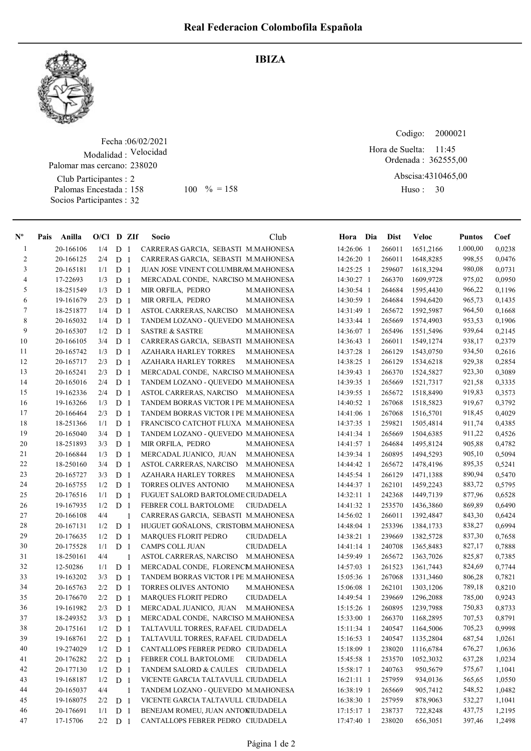IBIZA



## Fecha : 06/02/2021 Modalidad : Velocidad Club Participantes : 2 Palomar mas cercano: 238020

Palomas Encestada : Socios Participantes : 32

158 100 % = 158 Huso: 30

Codigo: 

Ordenada : 362555,00 Abscisa: 4310465,00 Hora de Suelta: 11:45

Huso: 30

| $N^{\circ}$              | Pais Anilla | $O/Cl$ D ZIf |                |              | <b>Socio</b>                         | Club              | Hora Dia     | Dist   | Veloc     | <b>Puntos</b> | Coef   |
|--------------------------|-------------|--------------|----------------|--------------|--------------------------------------|-------------------|--------------|--------|-----------|---------------|--------|
| $\mathbf{1}$             | 20-166106   | 1/4          | D <sub>1</sub> |              | CARRERAS GARCIA, SEBASTI M.MAHONESA  |                   | 14:26:06 1   | 266011 | 1651,2166 | 1.000,00      | 0,0238 |
| $\overline{c}$           | 20-166125   | 2/4          | D <sub>1</sub> |              | CARRERAS GARCIA, SEBASTI M.MAHONESA  |                   | 14:26:20 1   | 266011 | 1648,8285 | 998,55        | 0,0476 |
| 3                        | 20-165181   | 1/1          | D              | -1           | JUAN JOSE VINENT COLUMBRAM.MAHONESA  |                   | 14:25:25 1   | 259607 | 1618,3294 | 980,08        | 0,0731 |
| $\overline{\mathcal{A}}$ | 17-22693    | 1/3          | D              | -1           | MERCADAL CONDE, NARCISO M.MAHONESA   |                   | 14:30:27 1   | 266370 | 1609,9728 | 975,02        | 0,0950 |
| 5                        | 18-251549   | 1/3          | D              | -1           | MIR ORFILA, PEDRO                    | M.MAHONESA        | 14:30:54 1   | 264684 | 1595,4430 | 966,22        | 0,1196 |
| 6                        | 19-161679   | 2/3          | D              | -1           | MIR ORFILA, PEDRO                    | M.MAHONESA        | 14:30:59 1   | 264684 | 1594,6420 | 965,73        | 0,1435 |
| 7                        | 18-251877   | 1/4          | D <sub>1</sub> |              | ASTOL CARRERAS, NARCISO              | M.MAHONESA        | 14:31:49 1   | 265672 | 1592,5987 | 964,50        | 0,1668 |
| 8                        | 20-165032   | 1/4          | D              | -1           | TANDEM LOZANO - QUEVEDO M.MAHONESA   |                   | 14:33:44 1   | 265669 | 1574,4903 | 953,53        | 0,1906 |
| 9                        | 20-165307   | 1/2          | D              | -1           | <b>SASTRE &amp; SASTRE</b>           | M.MAHONESA        | 14:36:07 1   | 265496 | 1551,5496 | 939,64        | 0,2145 |
| 10                       | 20-166105   | 3/4          | D <sub>1</sub> |              | CARRERAS GARCIA, SEBASTI M.MAHONESA  |                   | 14:36:43 1   | 266011 | 1549,1274 | 938,17        | 0,2379 |
| 11                       | 20-165742   | 1/3          | D <sub>1</sub> |              | <b>AZAHARA HARLEY TORRES</b>         | M.MAHONESA        | 14:37:28 1   | 266129 | 1543,0750 | 934,50        | 0,2616 |
| 12                       | 20-165717   | 2/3          | D <sub>1</sub> |              | <b>AZAHARA HARLEY TORRES</b>         | <b>M.MAHONESA</b> | 14:38:25 1   | 266129 | 1534,6218 | 929,38        | 0,2854 |
| 13                       | 20-165241   | 2/3          | D <sub>1</sub> |              | MERCADAL CONDE, NARCISO M.MAHONESA   |                   | 14:39:43 1   | 266370 | 1524,5827 | 923,30        | 0,3089 |
| 14                       | 20-165016   | 2/4          | D <sub>1</sub> |              | TANDEM LOZANO - QUEVEDO M.MAHONESA   |                   | 14:39:35 1   | 265669 | 1521,7317 | 921,58        | 0,3335 |
| 15                       | 19-162336   | 2/4          | D              | -1           | ASTOL CARRERAS, NARCISO M.MAHONESA   |                   | 14:39:55 1   | 265672 | 1518,8490 | 919,83        | 0,3573 |
| 16                       | 19-163266   | 1/3          | D              | -1           | TANDEM BORRAS VICTOR I PE M.MAHONESA |                   | 14:40:52 1   | 267068 | 1518,5823 | 919,67        | 0,3792 |
| 17                       | 20-166464   | 2/3          | D              | -1           | TANDEM BORRAS VICTOR I PE M.MAHONESA |                   | 14:41:06 1   | 267068 | 1516,5701 | 918,45        | 0,4029 |
| 18                       | 18-251366   | 1/1          | D              | -1           | FRANCISCO CATCHOT FLUXA M.MAHONESA   |                   | 14:37:35 1   | 259821 | 1505,4814 | 911,74        | 0,4385 |
| 19                       | 20-165040   | 3/4          | D              | - 1          | TANDEM LOZANO - QUEVEDO M.MAHONESA   |                   | 14:41:34 1   | 265669 | 1504,6385 | 911,22        | 0,4526 |
| 20                       | 18-251893   | 3/3          | D              | -1           | MIR ORFILA, PEDRO                    | M.MAHONESA        | 14:41:57 1   | 264684 | 1495,8124 | 905,88        | 0,4782 |
| 21                       | 20-166844   | 1/3          | D              | -1           | MERCADAL JUANICO, JUAN               | M.MAHONESA        | 14:39:34 1   | 260895 | 1494,5293 | 905,10        | 0,5094 |
| 22                       | 18-250160   | 3/4          | D              | -1           | ASTOL CARRERAS, NARCISO              | M.MAHONESA        | 14:44:42 1   | 265672 | 1478,4196 | 895,35        | 0,5241 |
| 23                       | 20-165727   | 3/3          | D <sub>1</sub> |              | <b>AZAHARA HARLEY TORRES</b>         | M.MAHONESA        | 14:45:54 1   | 266129 | 1471,1388 | 890,94        | 0,5470 |
| 24                       | 20-165755   | 1/2          | D <sub>1</sub> |              | TORRES OLIVES ANTONIO                | M.MAHONESA        | 14:44:37 1   | 262101 | 1459,2243 | 883,72        | 0,5795 |
| 25                       | 20-176516   | 1/1          | D <sub>1</sub> |              | FUGUET SALORD BARTOLOME CIUDADELA    |                   | 14:32:11 1   | 242368 | 1449,7139 | 877,96        | 0,6528 |
| 26                       | 19-167935   | 1/2          | D <sub>1</sub> |              | FEBRER COLL BARTOLOME                | <b>CIUDADELA</b>  | 14:41:32 1   | 253570 | 1436,3860 | 869,89        | 0,6490 |
| 27                       | 20-166108   | 4/4          |                | 1            | CARRERAS GARCIA, SEBASTI M.MAHONESA  |                   | 14:56:02 1   | 266011 | 1392,4847 | 843,30        | 0,6424 |
| 28                       | 20-167131   | 1/2          | D              | -1           | HUGUET GOÑALONS, CRISTOBM.MAHONESA   |                   | 14:48:04 1   | 253396 | 1384,1733 | 838,27        | 0,6994 |
| 29                       | 20-176635   | 1/2          | D              | -1           | <b>MARQUES FLORIT PEDRO</b>          | <b>CIUDADELA</b>  | 14:38:21 1   | 239669 | 1382,5728 | 837,30        | 0,7658 |
| 30                       | 20-175528   | 1/1          | ${\bf D}$      | -1           | CAMPS COLL JUAN                      | <b>CIUDADELA</b>  | 14:41:14 1   | 240708 | 1365,8483 | 827,17        | 0,7888 |
| 31                       | 18-250161   | 4/4          |                | $\mathbf{1}$ | ASTOL CARRERAS, NARCISO              | M.MAHONESA        | 14:59:49 1   | 265672 | 1363,7026 | 825,87        | 0,7385 |
| 32                       | 12-50286    | 1/1          | D              | -1           | MERCADAL CONDE, FLORENCM.MAHONESA    |                   | 14:57:03 1   | 261523 | 1361,7443 | 824,69        | 0,7744 |
| 33                       | 19-163202   | 3/3          | D              | -1           | TANDEM BORRAS VICTOR I PE M.MAHONESA |                   | 15:05:36 1   | 267068 | 1331,3460 | 806,28        | 0,7821 |
| 34                       | 20-165763   | 2/2          | D <sub>1</sub> |              | TORRES OLIVES ANTONIO                | <b>M.MAHONESA</b> | 15:06:08 1   | 262101 | 1303,1206 | 789,18        | 0,8210 |
| 35                       | 20-176670   | 2/2          | D <sub>1</sub> |              | <b>MARQUES FLORIT PEDRO</b>          | <b>CIUDADELA</b>  | 14:49:54 1   | 239669 | 1296,2088 | 785,00        | 0,9243 |
| 36                       | 19-161982   | 2/3          | D <sub>1</sub> |              | MERCADAL JUANICO, JUAN               | M.MAHONESA        | 15:15:26 1   | 260895 | 1239,7988 | 750,83        | 0,8733 |
| 37                       | 18-249352   | 3/3          | D <sub>1</sub> |              | MERCADAL CONDE, NARCISO M.MAHONESA   |                   | 15:33:00 1   | 266370 | 1168,2895 | 707,53        | 0,8791 |
| 38                       | 20-175161   | 1/2          | D 1            |              | TALTAVULL TORRES, RAFAEL CIUDADELA   |                   | 15:11:34 1   | 240547 | 1164,5006 | 705,23        | 0,9998 |
| 39                       | 19-168761   | 2/2          | D <sub>1</sub> |              | TALTAVULL TORRES, RAFAEL CIUDADELA   |                   | 15:16:53 1   | 240547 | 1135,2804 | 687,54        | 1,0261 |
| 40                       | 19-274029   | 1/2          | D <sub>1</sub> |              | CANTALLOPS FEBRER PEDRO CIUDADELA    |                   | 15:18:09 1   | 238020 | 1116,6784 | 676,27        | 1,0636 |
| 41                       | 20-176282   | 2/2          | D <sub>1</sub> |              | FEBRER COLL BARTOLOME                | <b>CIUDADELA</b>  | 15:45:58 1   | 253570 | 1052,3032 | 637,28        | 1,0234 |
| 42                       | 20-177130   | 1/2          | D <sub>1</sub> |              | TANDEM SALORD & CAULES CIUDADELA     |                   | 15:58:17 1   | 240763 | 950,5679  | 575,67        | 1,1041 |
| 43                       | 19-168187   | 1/2          | D <sub>1</sub> |              | VICENTE GARCIA TALTAVULL CIUDADELA   |                   | $16:21:11$ 1 | 257959 | 934,0136  | 565,65        | 1,0550 |
| 44                       | 20-165037   | 4/4          |                | -1           | TANDEM LOZANO - QUEVEDO M.MAHONESA   |                   | 16:38:19 1   | 265669 | 905,7412  | 548,52        | 1,0482 |
| 45                       | 19-168075   | 2/2          | D              | -1           | VICENTE GARCIA TALTAVULL CIUDADELA   |                   | 16:38:30 1   | 257959 | 878,9063  | 532,27        | 1,1041 |
| 46                       | 20-176691   | 1/1          | D <sub>1</sub> |              | BENEJAM ROMEU, JUAN ANTONIUDADELA    |                   | 17:15:17 1   | 238737 | 722,8248  | 437,75        | 1,2195 |
| 47                       | 17-15706    | 2/2          | D <sub>1</sub> |              | CANTALLOPS FEBRER PEDRO CIUDADELA    |                   | 17:47:40 1   | 238020 | 656,3051  | 397,46        | 1,2498 |